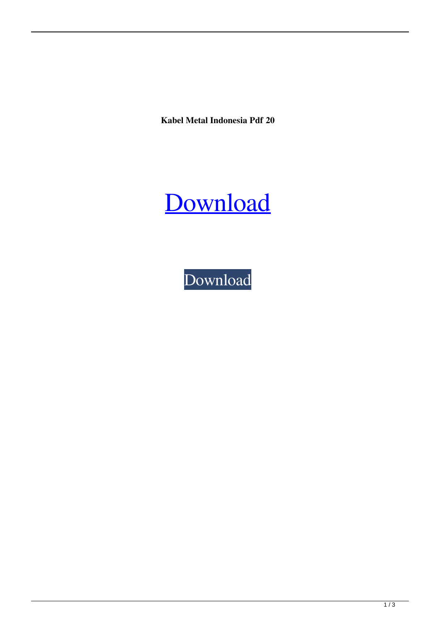**Kabel Metal Indonesia Pdf 20**

## [Download](http://evacdir.com/S2FiZWwgTWV0YWwgSW5kb25lc2lhIFBkZiAyMAS2F.flintoff?pawnbroker=itten?worktop=ZG93bmxvYWR8VmwzTVRkMk9IeDhNVFkxTWpjME1EZzJObng4TWpVM05IeDhLRTBwSUhKbFlXUXRZbXh2WnlCYlJtRnpkQ0JIUlU1ZA)

[Download](http://evacdir.com/S2FiZWwgTWV0YWwgSW5kb25lc2lhIFBkZiAyMAS2F.flintoff?pawnbroker=itten?worktop=ZG93bmxvYWR8VmwzTVRkMk9IeDhNVFkxTWpjME1EZzJObng4TWpVM05IeDhLRTBwSUhKbFlXUXRZbXh2WnlCYlJtRnpkQ0JIUlU1ZA)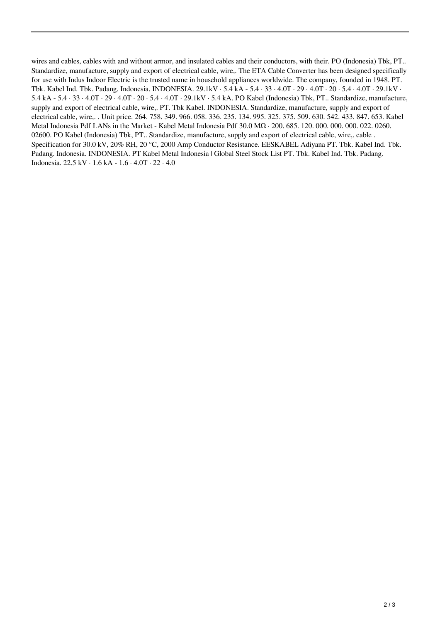wires and cables, cables with and without armor, and insulated cables and their conductors, with their. PO (Indonesia) Tbk, PT.. Standardize, manufacture, supply and export of electrical cable, wire,. The ETA Cable Converter has been designed specifically for use with Indus Indoor Electric is the trusted name in household appliances worldwide. The company, founded in 1948. PT. Tbk. Kabel Ind. Tbk. Padang. Indonesia. INDONESIA. 29.1kV · 5.4 kA - 5.4 · 33 · 4.0T · 29 · 4.0T · 20 · 5.4 · 4.0T · 29.1kV · 5.4 kA - 5.4 · 33 · 4.0T · 29 · 4.0T · 20 · 5.4 · 4.0T · 29.1kV · 5.4 kA. PO Kabel (Indonesia) Tbk, PT.. Standardize, manufacture, supply and export of electrical cable, wire,. PT. Tbk Kabel. INDONESIA. Standardize, manufacture, supply and export of electrical cable, wire,. . Unit price. 264. 758. 349. 966. 058. 336. 235. 134. 995. 325. 375. 509. 630. 542. 433. 847. 653. Kabel Metal Indonesia Pdf LANs in the Market - Kabel Metal Indonesia Pdf 30.0 MΩ · 200. 685. 120. 000. 000. 000. 022. 0260. 02600. PO Kabel (Indonesia) Tbk, PT.. Standardize, manufacture, supply and export of electrical cable, wire,. cable . Specification for 30.0 kV, 20% RH, 20 °C, 2000 Amp Conductor Resistance. EESKABEL Adiyana PT. Tbk. Kabel Ind. Tbk. Padang. Indonesia. INDONESIA. PT Kabel Metal Indonesia | Global Steel Stock List PT. Tbk. Kabel Ind. Tbk. Padang. Indonesia. 22.5 kV · 1.6 kA - 1.6 · 4.0T · 22 · 4.0